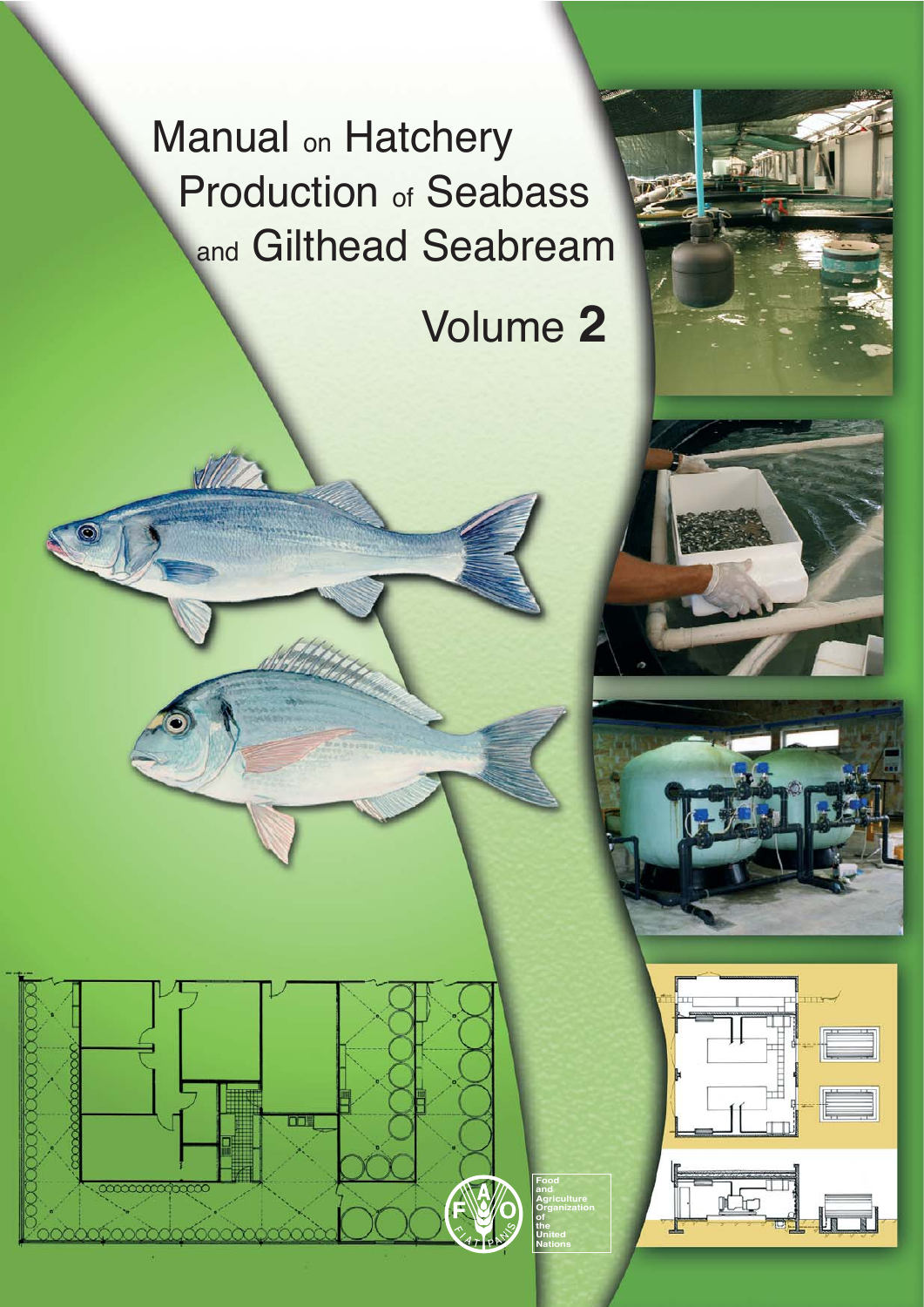Manual <sub>on</sub> Hatchery Production of Seabass and Gilthead Seabream

# Volume **2**

**Food and Agriculture Organization of the United Nations**

<del>mmmmm</del>





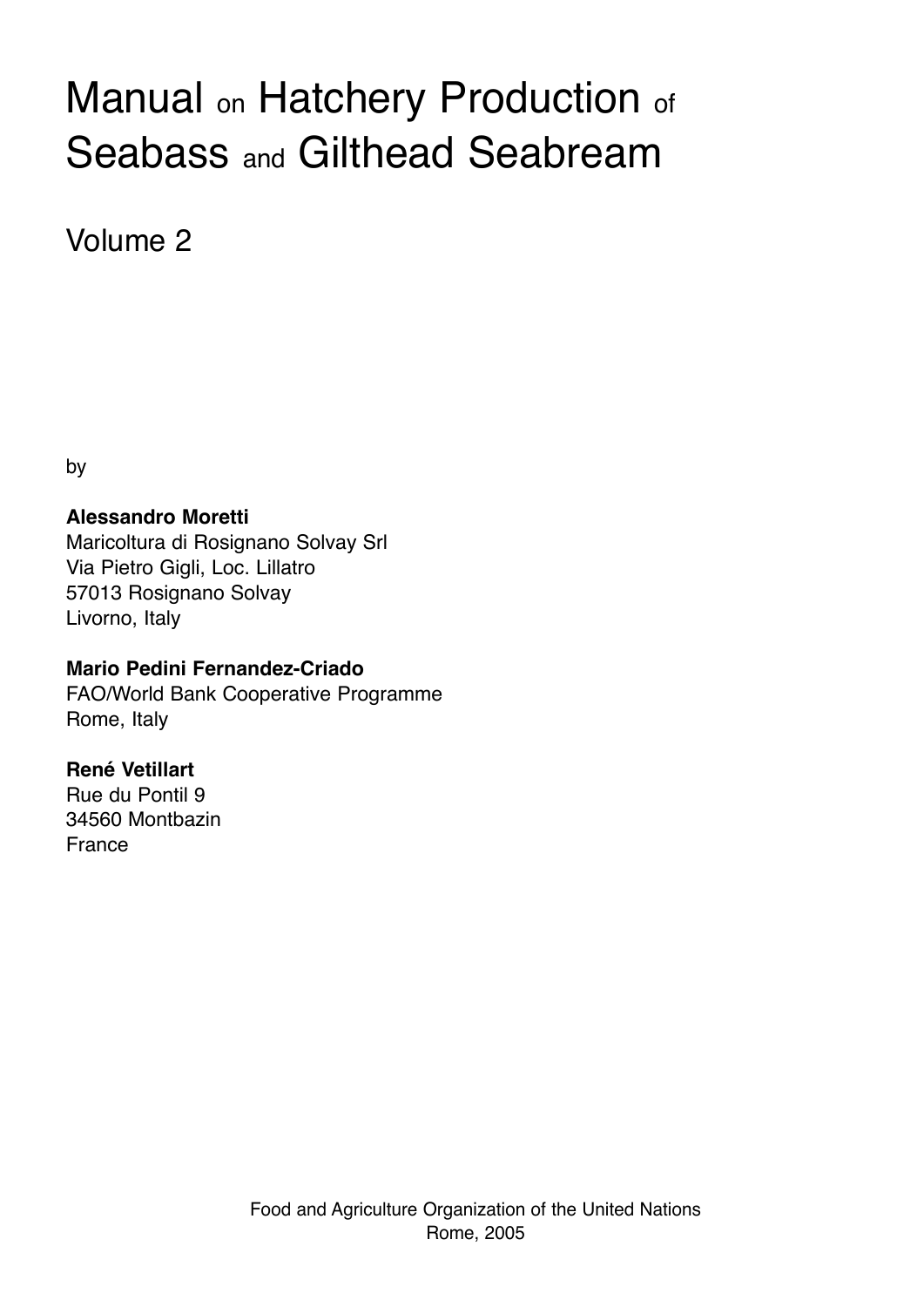# Manual on Hatchery Production of Seabass and Gilthead Seabream

Volume 2

by

## **Alessandro Moretti**

Maricoltura di Rosignano Solvay Srl Via Pietro Gigli, Loc. Lillatro 57013 Rosignano Solvay Livorno, Italy

### **Mario Pedini Fernandez-Criado**

FAO/World Bank Cooperative Programme Rome, Italy

## **René Vetillart**

Rue du Pontil 9 34560 Montbazin France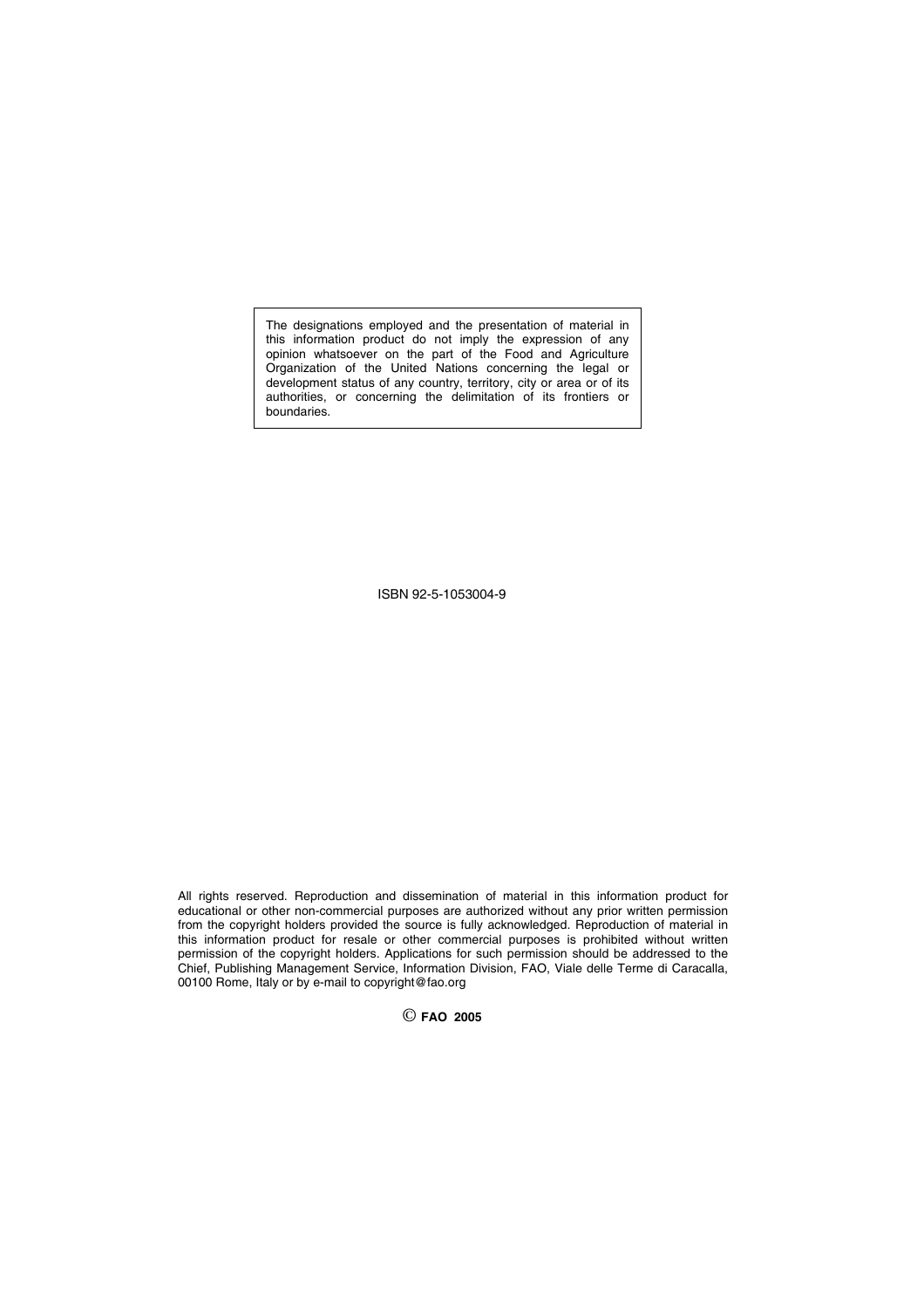The designations employed and the presentation of material in this information product do not imply the expression of any opinion whatsoever on the part of the Food and Agriculture Organization of the United Nations concerning the legal or development status of any country, territory, city or area or of its authorities, or concerning the delimitation of its frontiers or boundaries.

ISBN 92-5-1053004-9

All rights reserved. Reproduction and dissemination of material in this information product for educational or other non-commercial purposes are authorized without any prior written permission from the copyright holders provided the source is fully acknowledged. Reproduction of material in this information product for resale or other commercial purposes is prohibited without written permission of the copyright holders. Applications for such permission should be addressed to the Chief, Publishing Management Service, Information Division, FAO, Viale delle Terme di Caracalla, 00100 Rome, Italy or by e-mail to copyright@fao.org

© **FAO <sup>2005</sup>**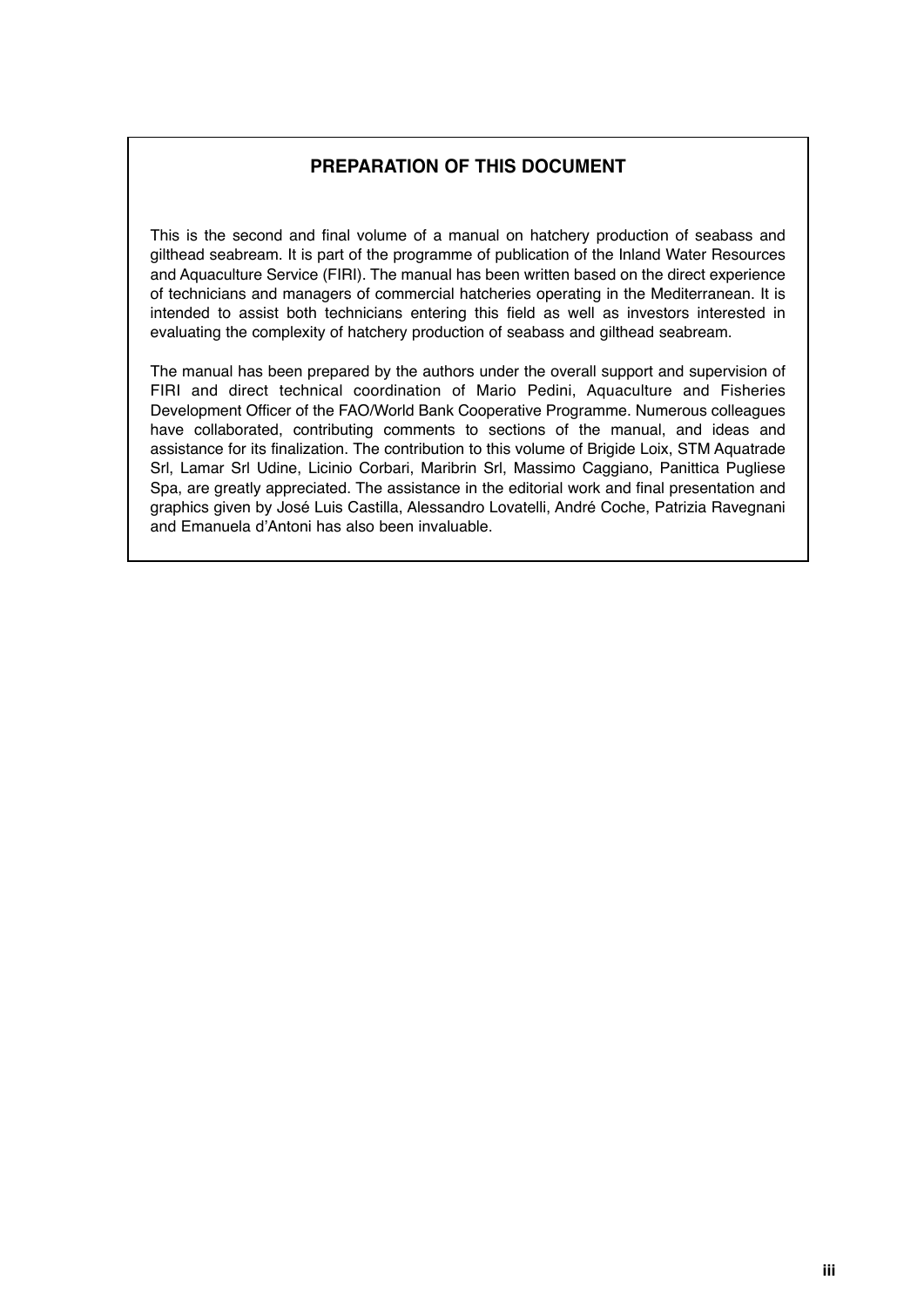#### **PREPARATION OF THIS DOCUMENT**

This is the second and final volume of a manual on hatchery production of seabass and gilthead seabream. It is part of the programme of publication of the Inland Water Resources and Aquaculture Service (FIRI). The manual has been written based on the direct experience of technicians and managers of commercial hatcheries operating in the Mediterranean. It is intended to assist both technicians entering this field as well as investors interested in evaluating the complexity of hatchery production of seabass and gilthead seabream.

The manual has been prepared by the authors under the overall support and supervision of FIRI and direct technical coordination of Mario Pedini, Aquaculture and Fisheries Development Officer of the FAO/World Bank Cooperative Programme. Numerous colleagues have collaborated, contributing comments to sections of the manual, and ideas and assistance for its finalization. The contribution to this volume of Brigide Loix, STM Aquatrade Srl, Lamar Srl Udine, Licinio Corbari, Maribrin Srl, Massimo Caggiano, Panittica Pugliese Spa, are greatly appreciated. The assistance in the editorial work and final presentation and graphics given by José Luis Castilla, Alessandro Lovatelli, André Coche, Patrizia Ravegnani and Emanuela d'Antoni has also been invaluable.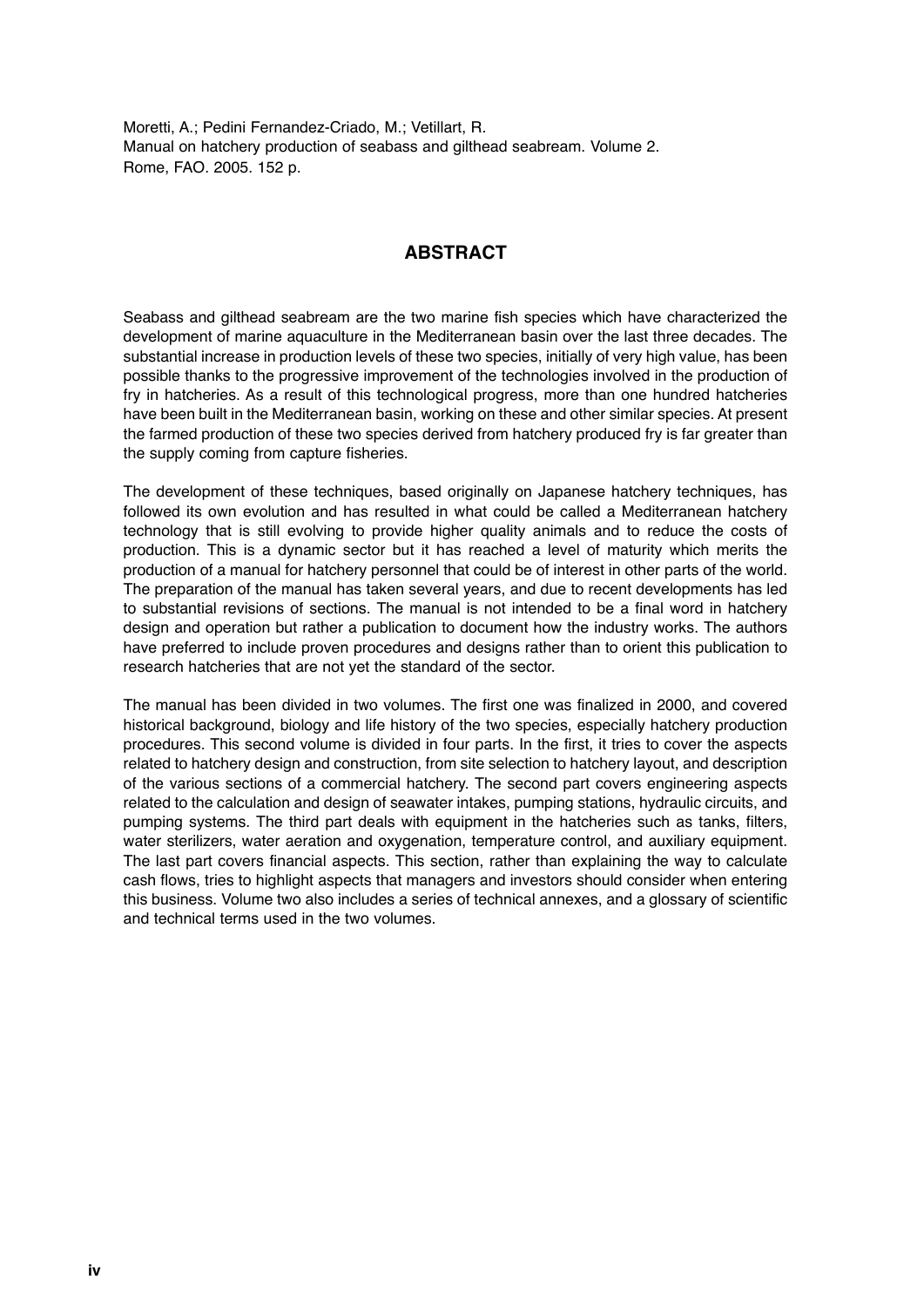Moretti, A.; Pedini Fernandez-Criado, M.; Vetillart, R. Manual on hatchery production of seabass and gilthead seabream. Volume 2. Rome, FAO. 2005. 152 p.

#### **ABSTRACT**

Seabass and gilthead seabream are the two marine fish species which have characterized the development of marine aquaculture in the Mediterranean basin over the last three decades. The substantial increase in production levels of these two species, initially of very high value, has been possible thanks to the progressive improvement of the technologies involved in the production of fry in hatcheries. As a result of this technological progress, more than one hundred hatcheries have been built in the Mediterranean basin, working on these and other similar species. At present the farmed production of these two species derived from hatchery produced fry is far greater than the supply coming from capture fisheries.

The development of these techniques, based originally on Japanese hatchery techniques, has followed its own evolution and has resulted in what could be called a Mediterranean hatchery technology that is still evolving to provide higher quality animals and to reduce the costs of production. This is a dynamic sector but it has reached a level of maturity which merits the production of a manual for hatchery personnel that could be of interest in other parts of the world. The preparation of the manual has taken several years, and due to recent developments has led to substantial revisions of sections. The manual is not intended to be a final word in hatchery design and operation but rather a publication to document how the industry works. The authors have preferred to include proven procedures and designs rather than to orient this publication to research hatcheries that are not yet the standard of the sector.

The manual has been divided in two volumes. The first one was finalized in 2000, and covered historical background, biology and life history of the two species, especially hatchery production procedures. This second volume is divided in four parts. In the first, it tries to cover the aspects related to hatchery design and construction, from site selection to hatchery layout, and description of the various sections of a commercial hatchery. The second part covers engineering aspects related to the calculation and design of seawater intakes, pumping stations, hydraulic circuits, and pumping systems. The third part deals with equipment in the hatcheries such as tanks, filters, water sterilizers, water aeration and oxygenation, temperature control, and auxiliary equipment. The last part covers financial aspects. This section, rather than explaining the way to calculate cash flows, tries to highlight aspects that managers and investors should consider when entering this business. Volume two also includes a series of technical annexes, and a glossary of scientific and technical terms used in the two volumes.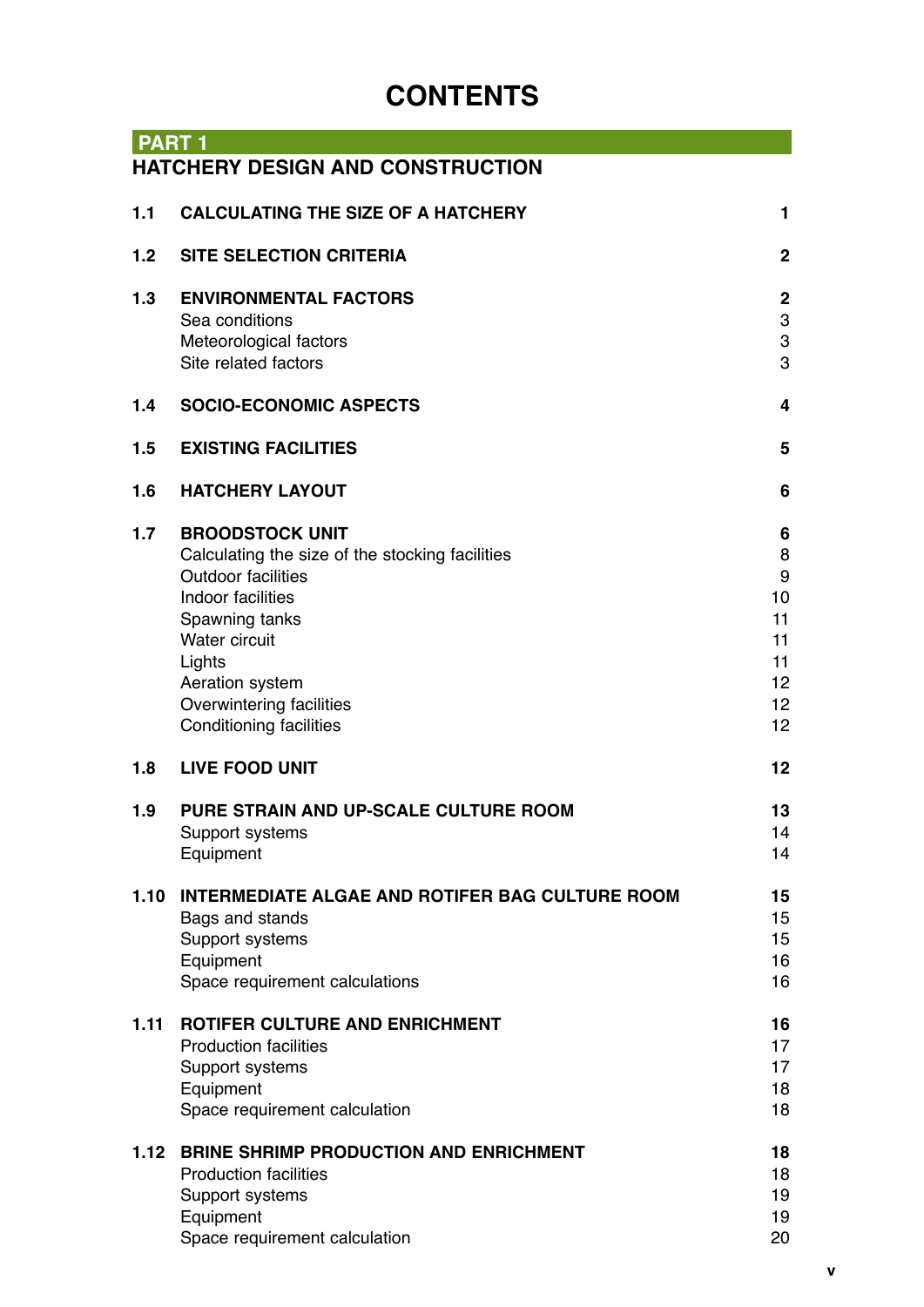# **CONTENTS**

| <b>PART1</b>     |                                                        |                           |
|------------------|--------------------------------------------------------|---------------------------|
|                  | <b>HATCHERY DESIGN AND CONSTRUCTION</b>                |                           |
| 1.1              | <b>CALCULATING THE SIZE OF A HATCHERY</b>              | 1                         |
|                  |                                                        |                           |
| 1.2 <sub>2</sub> | <b>SITE SELECTION CRITERIA</b>                         | $\mathbf 2$               |
| 1.3              | <b>ENVIRONMENTAL FACTORS</b>                           | $\boldsymbol{2}$          |
|                  | Sea conditions                                         | 3                         |
|                  | Meteorological factors                                 | $\ensuremath{\mathsf{3}}$ |
|                  | Site related factors                                   | 3                         |
| 1.4              | <b>SOCIO-ECONOMIC ASPECTS</b>                          | 4                         |
| 1.5              | <b>EXISTING FACILITIES</b>                             | 5                         |
| 1.6              | <b>HATCHERY LAYOUT</b>                                 | 6                         |
| 1.7              | <b>BROODSTOCK UNIT</b>                                 | 6                         |
|                  | Calculating the size of the stocking facilities        | 8                         |
|                  | <b>Outdoor facilities</b>                              | 9                         |
|                  | Indoor facilities                                      | 10                        |
|                  | Spawning tanks                                         | 11                        |
|                  | <b>Water circuit</b>                                   | 11<br>11                  |
|                  | Lights<br>Aeration system                              | 12                        |
|                  | Overwintering facilities                               | 12                        |
|                  | <b>Conditioning facilities</b>                         | 12                        |
| 1.8              | <b>LIVE FOOD UNIT</b>                                  | 12                        |
| 1.9              | PURE STRAIN AND UP-SCALE CULTURE ROOM                  | 13                        |
|                  | Support systems                                        | 14                        |
|                  | Equipment                                              | 14                        |
| 1.10             | <b>INTERMEDIATE ALGAE AND ROTIFER BAG CULTURE ROOM</b> | 15                        |
|                  | Bags and stands                                        | 15                        |
|                  | Support systems                                        | 15                        |
|                  | Equipment<br>Space requirement calculations            | 16<br>16                  |
|                  |                                                        |                           |
| 1.11             | ROTIFER CULTURE AND ENRICHMENT                         | 16                        |
|                  | <b>Production facilities</b>                           | 17                        |
|                  | Support systems                                        | 17                        |
|                  | Equipment                                              | 18<br>18                  |
|                  | Space requirement calculation                          |                           |
| 1.12             | <b>BRINE SHRIMP PRODUCTION AND ENRICHMENT</b>          | 18                        |
|                  | <b>Production facilities</b>                           | 18                        |
|                  | Support systems                                        | 19                        |
|                  | Equipment                                              | 19                        |
|                  | Space requirement calculation                          | 20                        |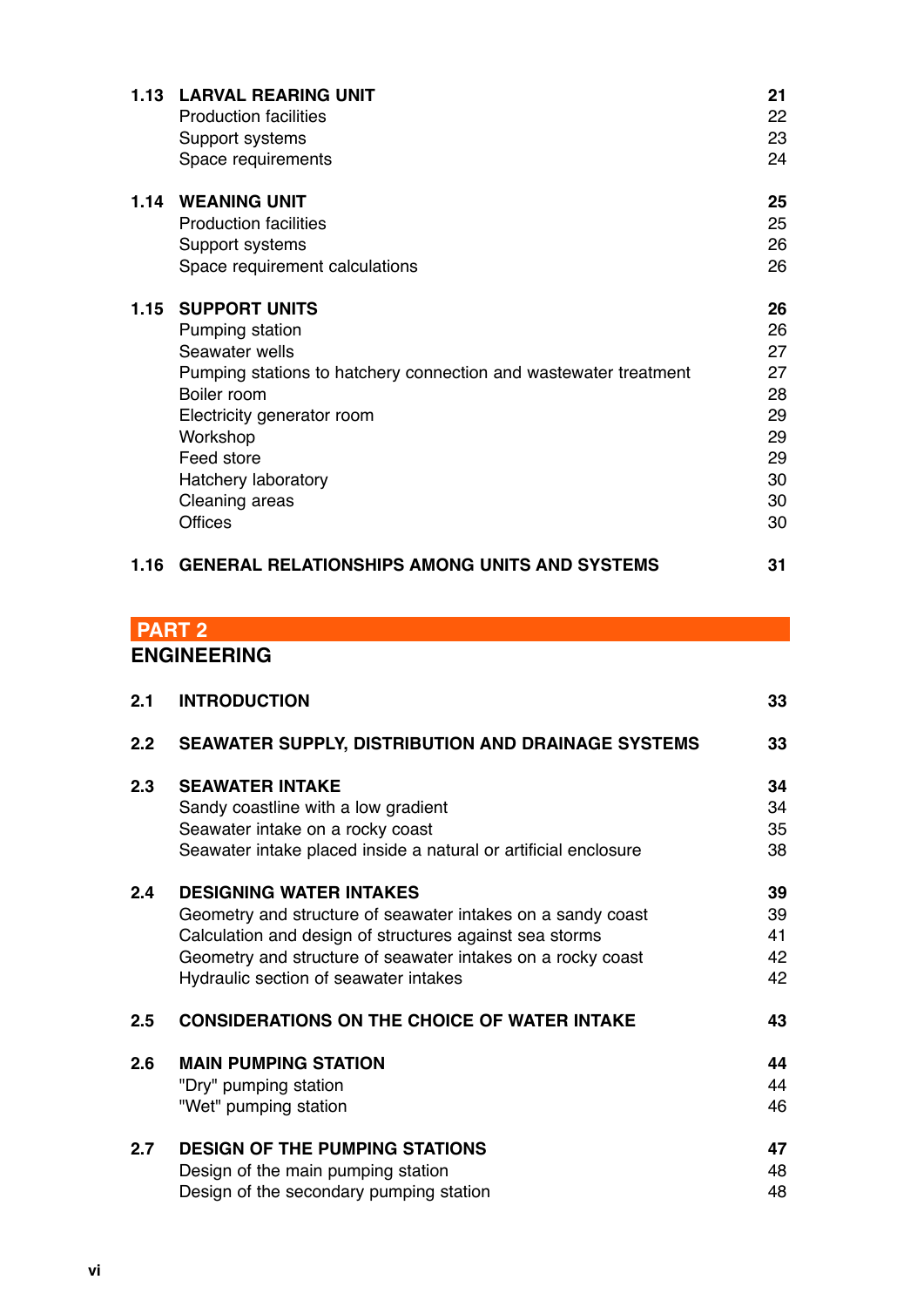| 1.13 | <b>LARVAL REARING UNIT</b>                                       | 21 |
|------|------------------------------------------------------------------|----|
|      | <b>Production facilities</b>                                     | 22 |
|      | Support systems                                                  | 23 |
|      | Space requirements                                               | 24 |
| 1.14 | <b>WEANING UNIT</b>                                              | 25 |
|      | <b>Production facilities</b>                                     | 25 |
|      | Support systems                                                  | 26 |
|      | Space requirement calculations                                   | 26 |
| 1.15 | <b>SUPPORT UNITS</b>                                             | 26 |
|      | Pumping station                                                  | 26 |
|      | Seawater wells                                                   | 27 |
|      | Pumping stations to hatchery connection and wastewater treatment | 27 |
|      | Boiler room                                                      | 28 |
|      | Electricity generator room                                       | 29 |
|      | Workshop                                                         | 29 |
|      | Feed store                                                       | 29 |
|      | Hatchery laboratory                                              | 30 |
|      | Cleaning areas                                                   | 30 |
|      | <b>Offices</b>                                                   | 30 |
| 1.16 | <b>GENERAL RELATIONSHIPS AMONG UNITS AND SYSTEMS</b>             | 31 |

# **PART 2**

# **ENGINEERING**

| 2.1              | <b>INTRODUCTION</b>                                             | 33 |
|------------------|-----------------------------------------------------------------|----|
| 2.2 <sub>2</sub> | <b>SEAWATER SUPPLY, DISTRIBUTION AND DRAINAGE SYSTEMS</b>       | 33 |
| 2.3              | <b>SEAWATER INTAKE</b>                                          | 34 |
|                  | Sandy coastline with a low gradient                             | 34 |
|                  | Seawater intake on a rocky coast                                | 35 |
|                  | Seawater intake placed inside a natural or artificial enclosure | 38 |
| 2.4              | <b>DESIGNING WATER INTAKES</b>                                  | 39 |
|                  | Geometry and structure of seawater intakes on a sandy coast     | 39 |
|                  | Calculation and design of structures against sea storms         | 41 |
|                  | Geometry and structure of seawater intakes on a rocky coast     | 42 |
|                  | Hydraulic section of seawater intakes                           | 42 |
| 2.5              | <b>CONSIDERATIONS ON THE CHOICE OF WATER INTAKE</b>             | 43 |
| 2.6              | <b>MAIN PUMPING STATION</b>                                     | 44 |
|                  | "Dry" pumping station                                           | 44 |
|                  | "Wet" pumping station                                           | 46 |
| 2.7              | <b>DESIGN OF THE PUMPING STATIONS</b>                           | 47 |
|                  | Design of the main pumping station                              | 48 |
|                  | Design of the secondary pumping station                         | 48 |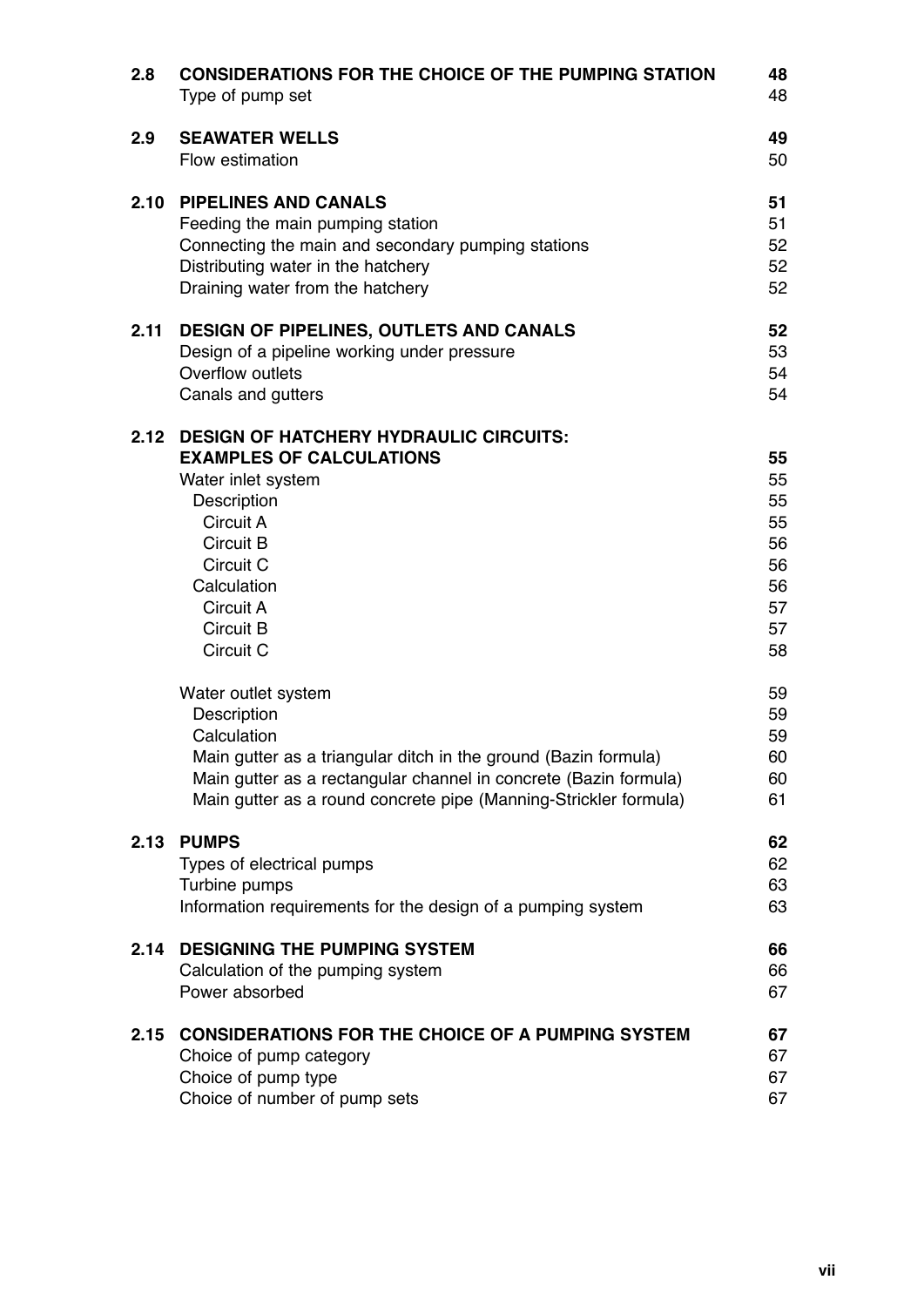| 2.8  | <b>CONSIDERATIONS FOR THE CHOICE OF THE PUMPING STATION</b><br>Type of pump set                                                                                                                                                                                                                                                                                                                                                                                                    | 48<br>48                                                                                     |
|------|------------------------------------------------------------------------------------------------------------------------------------------------------------------------------------------------------------------------------------------------------------------------------------------------------------------------------------------------------------------------------------------------------------------------------------------------------------------------------------|----------------------------------------------------------------------------------------------|
| 2.9  | <b>SEAWATER WELLS</b><br>Flow estimation                                                                                                                                                                                                                                                                                                                                                                                                                                           | 49<br>50                                                                                     |
| 2.10 | <b>PIPELINES AND CANALS</b><br>Feeding the main pumping station<br>Connecting the main and secondary pumping stations<br>Distributing water in the hatchery<br>Draining water from the hatchery                                                                                                                                                                                                                                                                                    | 51<br>51<br>52<br>52<br>52                                                                   |
| 2.11 | <b>DESIGN OF PIPELINES, OUTLETS AND CANALS</b><br>Design of a pipeline working under pressure<br>Overflow outlets<br>Canals and gutters                                                                                                                                                                                                                                                                                                                                            | 52<br>53<br>54<br>54                                                                         |
| 2.12 | <b>DESIGN OF HATCHERY HYDRAULIC CIRCUITS:</b><br><b>EXAMPLES OF CALCULATIONS</b><br>Water inlet system<br>Description<br>Circuit A<br>Circuit B<br>Circuit C<br>Calculation<br>Circuit A<br>Circuit B<br>Circuit C<br>Water outlet system<br>Description<br>Calculation<br>Main gutter as a triangular ditch in the ground (Bazin formula)<br>Main gutter as a rectangular channel in concrete (Bazin formula)<br>Main gutter as a round concrete pipe (Manning-Strickler formula) | 55<br>55<br>55<br>55<br>56<br>56<br>56<br>57<br>57<br>58<br>59<br>59<br>59<br>60<br>60<br>61 |
| 2.13 | <b>PUMPS</b><br>Types of electrical pumps<br>Turbine pumps<br>Information requirements for the design of a pumping system                                                                                                                                                                                                                                                                                                                                                          | 62<br>62<br>63<br>63                                                                         |
| 2.14 | <b>DESIGNING THE PUMPING SYSTEM</b><br>Calculation of the pumping system<br>Power absorbed                                                                                                                                                                                                                                                                                                                                                                                         | 66<br>66<br>67                                                                               |
| 2.15 | <b>CONSIDERATIONS FOR THE CHOICE OF A PUMPING SYSTEM</b><br>Choice of pump category<br>Choice of pump type<br>Choice of number of pump sets                                                                                                                                                                                                                                                                                                                                        | 67<br>67<br>67<br>67                                                                         |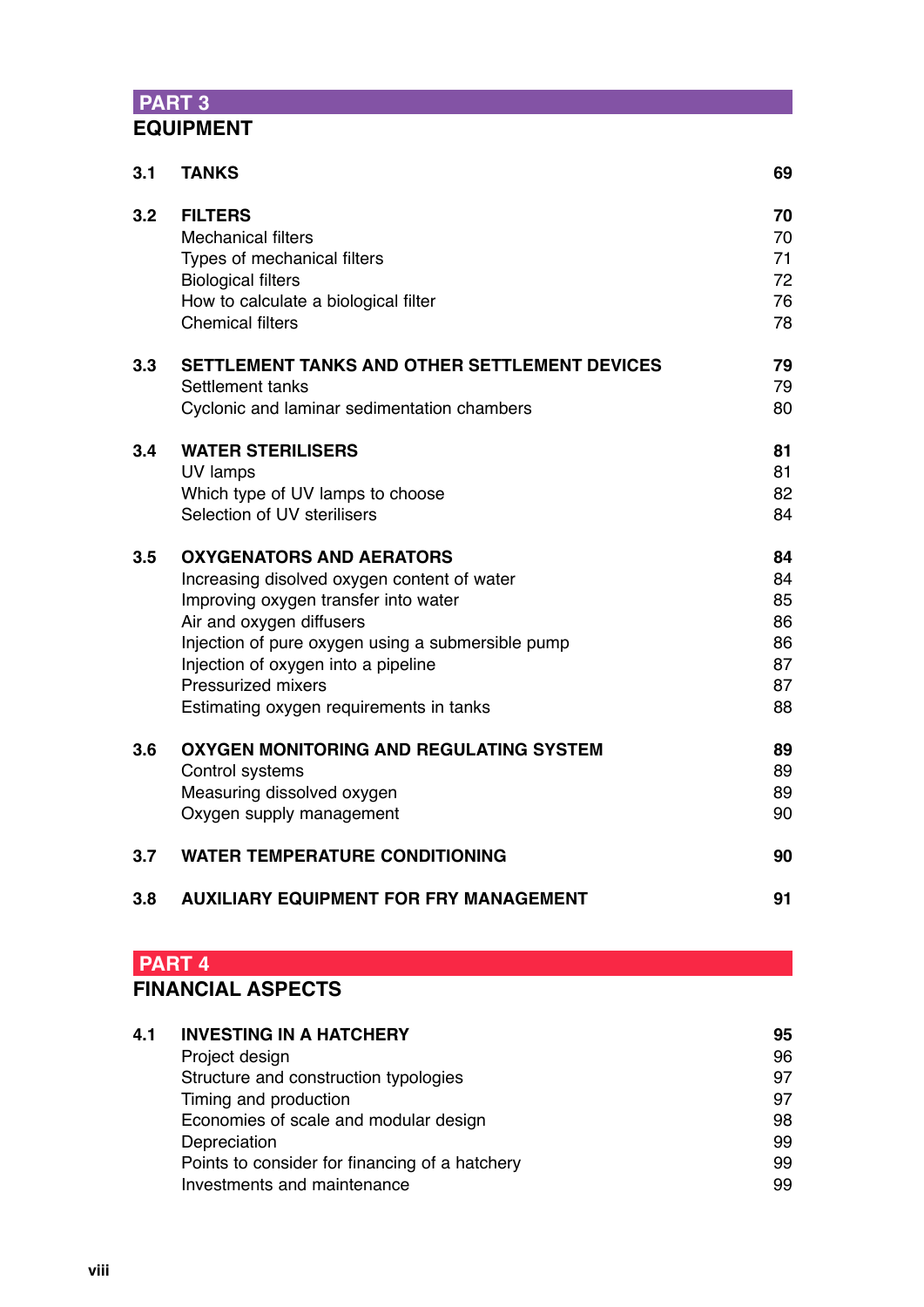# **PART 3 EQUIPMENT**

| 3.1 | <b>TANKS</b>                                      | 69 |
|-----|---------------------------------------------------|----|
| 3.2 | <b>FILTERS</b>                                    | 70 |
|     | <b>Mechanical filters</b>                         | 70 |
|     | Types of mechanical filters                       | 71 |
|     | <b>Biological filters</b>                         | 72 |
|     | How to calculate a biological filter              | 76 |
|     | <b>Chemical filters</b>                           | 78 |
| 3.3 | SETTLEMENT TANKS AND OTHER SETTLEMENT DEVICES     | 79 |
|     | Settlement tanks                                  | 79 |
|     | Cyclonic and laminar sedimentation chambers       | 80 |
| 3.4 | <b>WATER STERILISERS</b>                          | 81 |
|     | UV lamps                                          | 81 |
|     | Which type of UV lamps to choose                  | 82 |
|     | Selection of UV sterilisers                       | 84 |
| 3.5 | <b>OXYGENATORS AND AERATORS</b>                   | 84 |
|     | Increasing disolved oxygen content of water       | 84 |
|     | Improving oxygen transfer into water              | 85 |
|     | Air and oxygen diffusers                          | 86 |
|     | Injection of pure oxygen using a submersible pump | 86 |
|     | Injection of oxygen into a pipeline               | 87 |
|     | <b>Pressurized mixers</b>                         | 87 |
|     | Estimating oxygen requirements in tanks           | 88 |
| 3.6 | <b>OXYGEN MONITORING AND REGULATING SYSTEM</b>    | 89 |
|     | Control systems                                   | 89 |
|     | Measuring dissolved oxygen                        | 89 |
|     | Oxygen supply management                          | 90 |
| 3.7 | <b>WATER TEMPERATURE CONDITIONING</b>             | 90 |
| 3.8 | <b>AUXILIARY EQUIPMENT FOR FRY MANAGEMENT</b>     | 91 |
|     |                                                   |    |

## **PART 4 FINANCIAL ASPECTS**

| 95 |
|----|
| 96 |
| 97 |
| 97 |
| 98 |
| 99 |
| 99 |
| 99 |
|    |